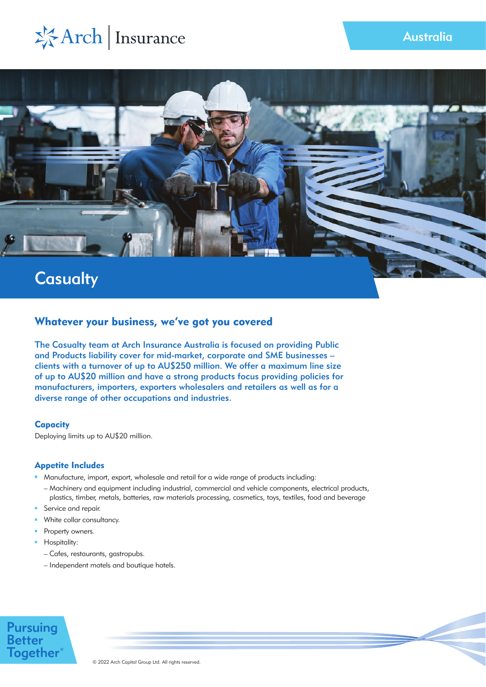



## Whatever your business, we've got you covered

The Casualty team at Arch Insurance Australia is focused on providing Public and Products liability cover for mid-market, corporate and SME businesses – clients with a turnover of up to AU\$250 million. We offer a maximum line size of up to AU\$20 million and have a strong products focus providing policies for manufacturers, importers, exporters wholesalers and retailers as well as for a diverse range of other occupations and industries.

## **Capacity**

Deploying limits up to AU\$20 million.

## Appetite Includes

- Manufacture, import, export, wholesale and retail for a wide range of products including:
- Machinery and equipment including industrial, commercial and vehicle components, electrical products, plastics, timber, metals, batteries, raw materials processing, cosmetics, toys, textiles, food and beverage
- Service and repair.
- White collar consultancy.
- **Property owners.**
- **Hospitality:** 
	- Cafes, restaurants, gastropubs.
	- Independent motels and boutique hotels.